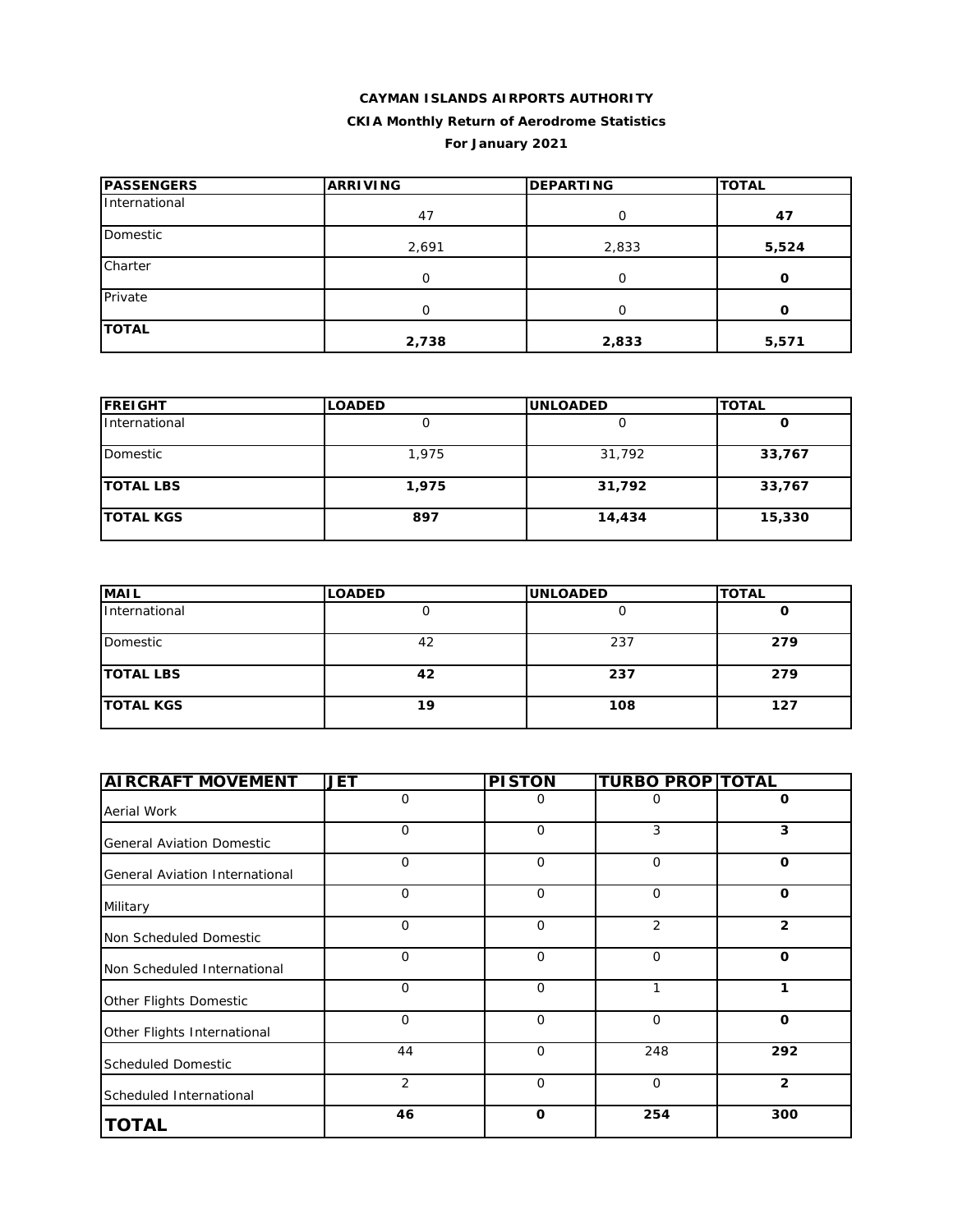# **CAYMAN ISLANDS AIRPORTS AUTHORITY CKIA Monthly Return of Aerodrome Statistics For January 2021**

| <b>PASSENGERS</b> | <b>ARRIVING</b> | <b>DEPARTING</b> | <b>TOTAL</b> |
|-------------------|-----------------|------------------|--------------|
| International     | 47              | 0                | 47           |
| Domestic          | 2,691           | 2,833            | 5,524        |
| Charter           | 0               | O                | O            |
| Private           | O               | Ω                | 0            |
| <b>TOTAL</b>      | 2,738           | 2,833            | 5,571        |

| <b>FREIGHT</b>   | <b>LOADED</b> | <b>UNLOADED</b> | <b>TOTAL</b> |
|------------------|---------------|-----------------|--------------|
| International    |               |                 |              |
| Domestic         | 1,975         | 31,792          | 33,767       |
| <b>TOTAL LBS</b> | 1,975         | 31,792          | 33,767       |
| <b>TOTAL KGS</b> | 897           | 14,434          | 15,330       |

| <b>MAIL</b>      | <b>LOADED</b> | <b>UNLOADED</b> | <b>TOTAL</b> |
|------------------|---------------|-----------------|--------------|
| International    |               |                 |              |
| Domestic         | 42            | 237             | 279          |
| <b>TOTAL LBS</b> | 42            | 237             | 279          |
| <b>TOTAL KGS</b> | 19            | 108             | 127          |

| <b>AIRCRAFT MOVEMENT</b>         | <b>JET</b>     | <b>PISTON</b> | <b>TURBO PROP TOTAL</b> |                |
|----------------------------------|----------------|---------------|-------------------------|----------------|
| Aerial Work                      | $\Omega$       | 0             | Ο                       | $\Omega$       |
| <b>General Aviation Domestic</b> | $\mathbf 0$    | $\mathbf 0$   | 3                       | 3              |
| General Aviation International   | $\mathbf 0$    | $\mathbf 0$   | $\mathbf 0$             | $\Omega$       |
| Military                         | $\Omega$       | $\Omega$      | $\Omega$                | $\Omega$       |
| Non Scheduled Domestic           | $\mathbf 0$    | $\mathbf 0$   | $\overline{2}$          | $\overline{2}$ |
| Non Scheduled International      | $\mathbf 0$    | $\mathbf 0$   | $\mathbf 0$             | O              |
| Other Flights Domestic           | $\Omega$       | $\Omega$      | 1                       | 1              |
| Other Flights International      | $\mathbf 0$    | $\Omega$      | $\Omega$                | $\Omega$       |
| <b>Scheduled Domestic</b>        | 44             | $\mathbf 0$   | 248                     | 292            |
| Scheduled International          | $\overline{2}$ | $\mathbf 0$   | $\mathbf 0$             | $\overline{2}$ |
| <b>TOTAL</b>                     | 46             | $\mathbf 0$   | 254                     | 300            |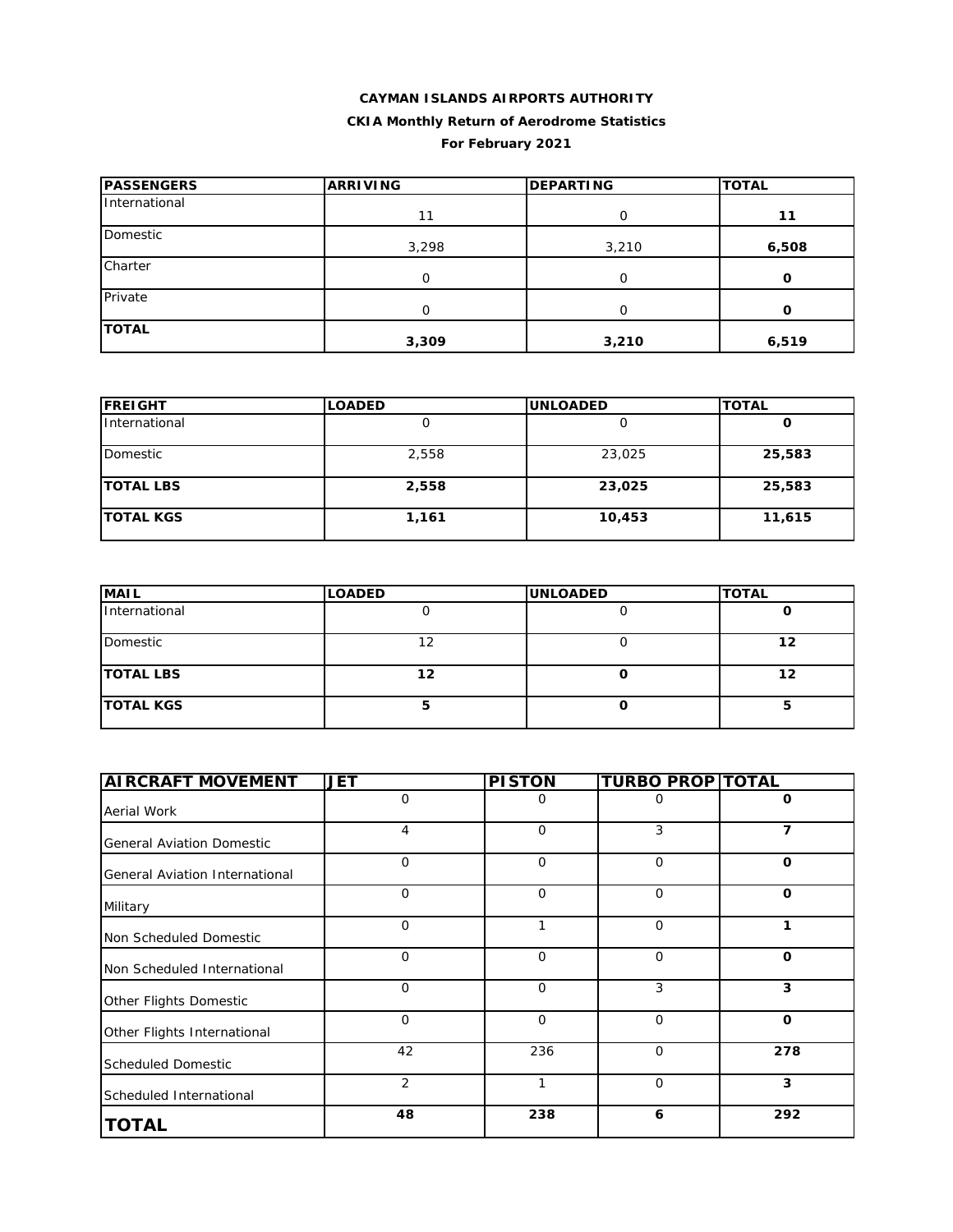# **CAYMAN ISLANDS AIRPORTS AUTHORITY CKIA Monthly Return of Aerodrome Statistics For February 2021**

| <b>PASSENGERS</b> | <b>ARRIVING</b> | <b>DEPARTING</b> | <b>TOTAL</b> |
|-------------------|-----------------|------------------|--------------|
| International     | 11              | O                | 11           |
| Domestic          | 3,298           | 3,210            | 6,508        |
| Charter           | O               | ∩                | Ω            |
| Private           | $\Omega$        | O                | O            |
| <b>TOTAL</b>      | 3,309           | 3,210            | 6,519        |

| <b>FREIGHT</b>   | <b>LOADED</b> | <b>UNLOADED</b> | <b>TOTAL</b> |
|------------------|---------------|-----------------|--------------|
| International    |               |                 | O            |
| Domestic         | 2,558         | 23,025          | 25,583       |
| <b>TOTAL LBS</b> | 2,558         | 23,025          | 25,583       |
| <b>TOTAL KGS</b> | 1,161         | 10,453          | 11,615       |

| <b>MAIL</b>      | <b>LOADED</b> | <b>UNLOADED</b> | <b>TOTAL</b> |
|------------------|---------------|-----------------|--------------|
| International    |               |                 |              |
| Domestic         | 12            |                 | 12           |
| <b>TOTAL LBS</b> | 12            |                 | 12           |
| <b>TOTAL KGS</b> |               |                 |              |

| <b>AIRCRAFT MOVEMENT</b>         | <b>JET</b>  | <b>PISTON</b> | <b>TURBO PROP TOTAL</b> |              |
|----------------------------------|-------------|---------------|-------------------------|--------------|
| Aerial Work                      | 0           | 0             | 0                       | 0            |
| <b>General Aviation Domestic</b> | 4           | $\mathbf 0$   | 3                       | 7            |
| General Aviation International   | $\Omega$    | $\mathbf 0$   | $\Omega$                | $\mathbf 0$  |
| Military                         | $\Omega$    | $\mathbf 0$   | $\mathbf 0$             | $\Omega$     |
| Non Scheduled Domestic           | $\Omega$    | 1             | $\Omega$                | 1            |
| Non Scheduled International      | $\Omega$    | $\mathbf 0$   | $\mathbf 0$             | $\mathbf 0$  |
| Other Flights Domestic           | $\mathbf 0$ | $\mathbf 0$   | 3                       | 3            |
| Other Flights International      | $\mathbf 0$ | $\mathbf 0$   | $\mathbf 0$             | $\mathbf{o}$ |
| <b>Scheduled Domestic</b>        | 42          | 236           | $\Omega$                | 278          |
| Scheduled International          | 2           |               | $\mathbf 0$             | 3            |
| <b>TOTAL</b>                     | 48          | 238           | 6                       | 292          |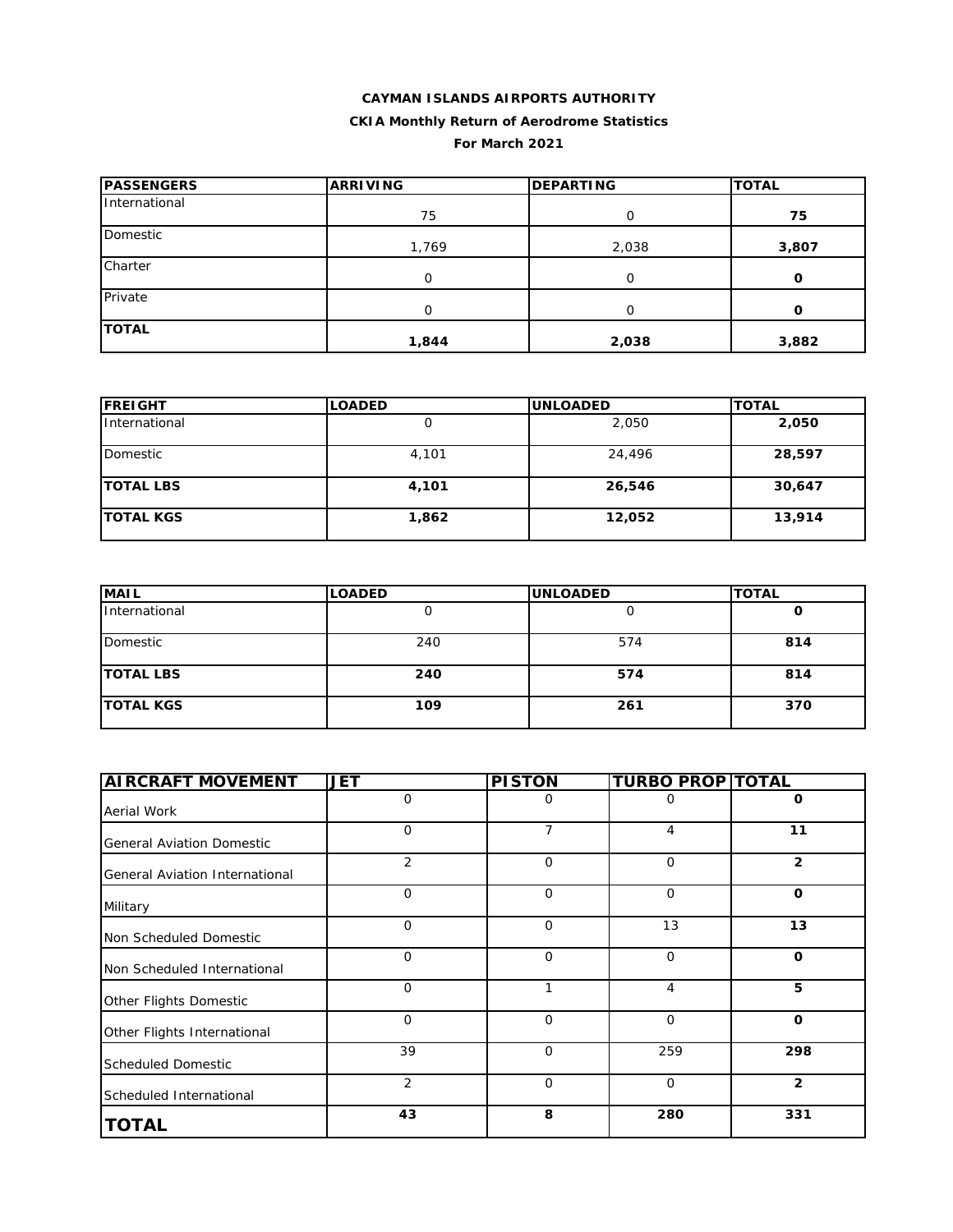### **CAYMAN ISLANDS AIRPORTS AUTHORITY CKIA Monthly Return of Aerodrome Statistics For March 2021**

| <b>PASSENGERS</b> | <b>ARRIVING</b> | <b>DEPARTING</b> | <b>TOTAL</b> |
|-------------------|-----------------|------------------|--------------|
| International     | 75              | O                | 75           |
| Domestic          | 1,769           | 2,038            | 3,807        |
| Charter           | O               |                  | O            |
| Private           | O               |                  | Ω            |
| <b>TOTAL</b>      | 1,844           | 2,038            | 3,882        |

| <b>IFREIGHT</b>  | <b>LOADED</b> | <b>UNLOADED</b> | <b>TOTAL</b> |
|------------------|---------------|-----------------|--------------|
| International    |               | 2,050           | 2,050        |
| Domestic         | 4,101         | 24,496          | 28,597       |
| <b>TOTAL LBS</b> | 4,101         | 26,546          | 30,647       |
| <b>TOTAL KGS</b> | 1,862         | 12,052          | 13,914       |

| <b>MAIL</b>      | <b>LOADED</b> | <b>UNLOADED</b> | <b>TOTAL</b> |
|------------------|---------------|-----------------|--------------|
| International    |               |                 |              |
| Domestic         | 240           | 574             | 814          |
| <b>TOTAL LBS</b> | 240           | 574             | 814          |
| <b>TOTAL KGS</b> | 109           | 261             | 370          |

| <b>AIRCRAFT MOVEMENT</b>         | <b>JET</b>     | <b>PISTON</b> | <b>TURBO PROP TOTAL</b> |                |
|----------------------------------|----------------|---------------|-------------------------|----------------|
| Aerial Work                      | $\mathbf 0$    | 0             | 0                       | 0              |
| <b>General Aviation Domestic</b> | O              | 7             | 4                       | 11             |
| General Aviation International   | $\overline{2}$ | 0             | $\mathbf 0$             | $\overline{2}$ |
| Military                         | $\mathbf 0$    | $\mathbf 0$   | $\mathbf 0$             | $\mathbf 0$    |
| Non Scheduled Domestic           | $\mathbf 0$    | $\mathbf 0$   | 13                      | 13             |
| Non Scheduled International      | 0              | $\mathbf 0$   | $\mathbf 0$             | $\mathbf 0$    |
| Other Flights Domestic           | $\mathbf 0$    | 1             | $\overline{4}$          | 5              |
| Other Flights International      | $\mathbf 0$    | $\mathbf 0$   | $\mathbf 0$             | $\mathbf 0$    |
| <b>Scheduled Domestic</b>        | 39             | $\Omega$      | 259                     | 298            |
| Scheduled International          | $\overline{2}$ | $\mathbf 0$   | $\mathbf 0$             | $\overline{2}$ |
| <b>TOTAL</b>                     | 43             | 8             | 280                     | 331            |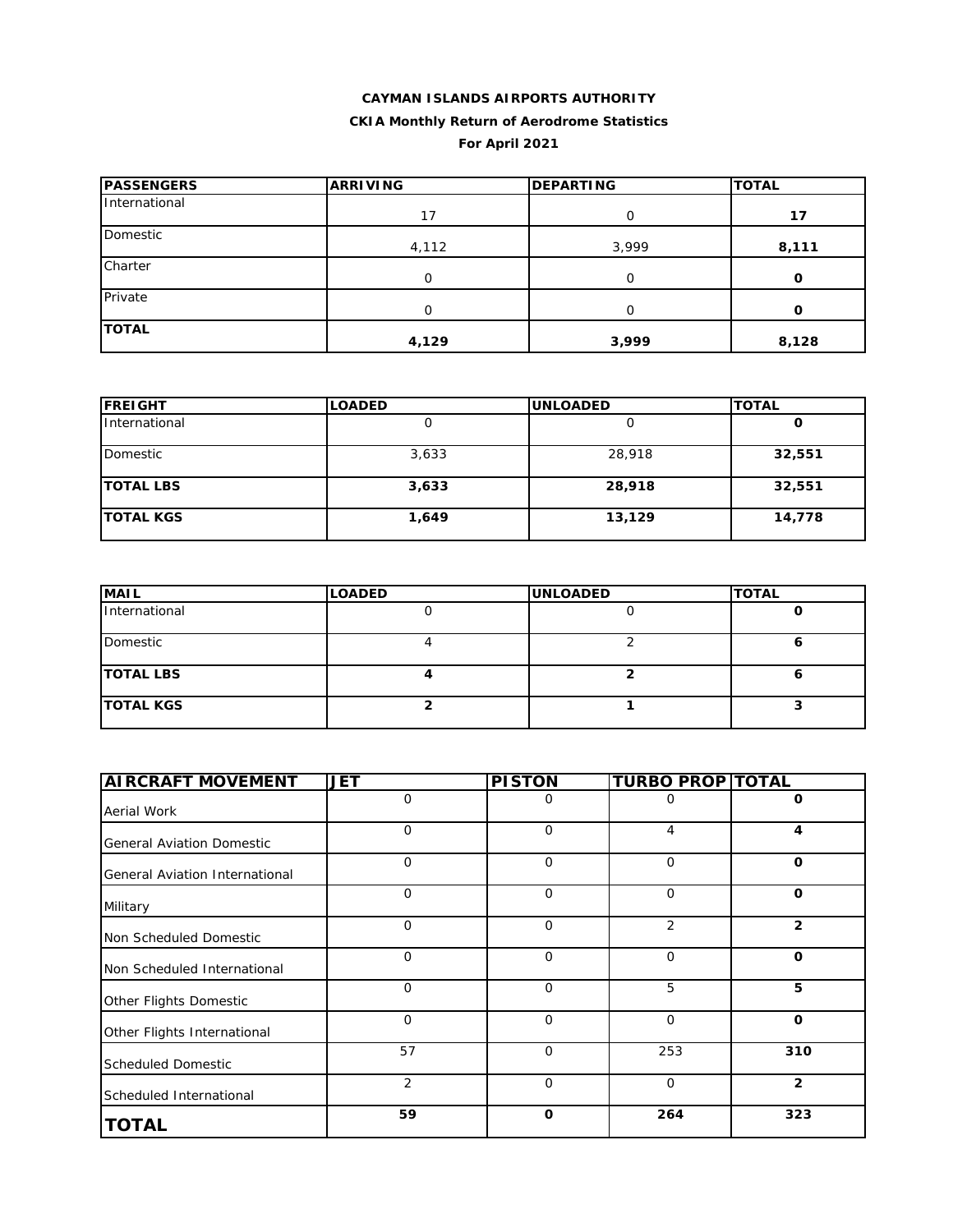# **CAYMAN ISLANDS AIRPORTS AUTHORITY CKIA Monthly Return of Aerodrome Statistics For April 2021**

| <b>PASSENGERS</b> | <b>ARRIVING</b> | <b>DEPARTING</b> | <b>TOTAL</b> |  |
|-------------------|-----------------|------------------|--------------|--|
| International     | 17              | 0                | 17           |  |
| Domestic          | 4,112           | 3,999            | 8,111        |  |
| Charter           | 0               | $\Omega$         | O            |  |
| Private           | Ο               | O                | O            |  |
| <b>TOTAL</b>      | 4,129           | 3,999            | 8,128        |  |

| <b>FREIGHT</b>   | <b>LOADED</b> | <b>UNLOADED</b> | <b>TOTAL</b> |  |
|------------------|---------------|-----------------|--------------|--|
| International    |               |                 |              |  |
| Domestic         | 3,633         | 28,918          | 32,551       |  |
| <b>TOTAL LBS</b> | 3,633         | 28,918          | 32,551       |  |
| <b>TOTAL KGS</b> | 1,649         | 13,129          | 14,778       |  |

| <b>MAIL</b>      | <b>LOADED</b> | <b>UNLOADED</b> | <b>TOTAL</b> |
|------------------|---------------|-----------------|--------------|
| International    |               |                 |              |
| Domestic         |               |                 |              |
| <b>TOTAL LBS</b> |               |                 |              |
| <b>TOTAL KGS</b> |               |                 |              |

| <b>AIRCRAFT MOVEMENT</b>         | <b>JET</b>     | <b>PISTON</b> | <b>TURBO PROP TOTAL</b> |                |
|----------------------------------|----------------|---------------|-------------------------|----------------|
| Aerial Work                      | $\mathbf 0$    | 0             | $\Omega$                | 0              |
| <b>General Aviation Domestic</b> | $\mathbf 0$    | $\mathbf 0$   | 4                       | 4              |
| General Aviation International   | $\mathbf 0$    | $\mathbf 0$   | $\mathbf 0$             | $\mathbf 0$    |
| Military                         | $\mathbf 0$    | $\mathbf 0$   | $\mathbf 0$             | $\mathbf 0$    |
| Non Scheduled Domestic           | 0              | $\mathbf 0$   | 2                       | $\overline{2}$ |
| Non Scheduled International      | $\mathbf 0$    | $\mathbf 0$   | 0                       | $\mathbf 0$    |
| Other Flights Domestic           | $\Omega$       | $\mathbf 0$   | 5                       | 5              |
| Other Flights International      | $\Omega$       | $\mathbf{O}$  | $\mathbf 0$             | $\mathbf 0$    |
| <b>Scheduled Domestic</b>        | 57             | $\mathbf 0$   | 253                     | 310            |
| Scheduled International          | $\overline{2}$ | $\mathbf{O}$  | $\mathbf 0$             | $\overline{2}$ |
| <b>TOTAL</b>                     | 59             | $\mathbf 0$   | 264                     | 323            |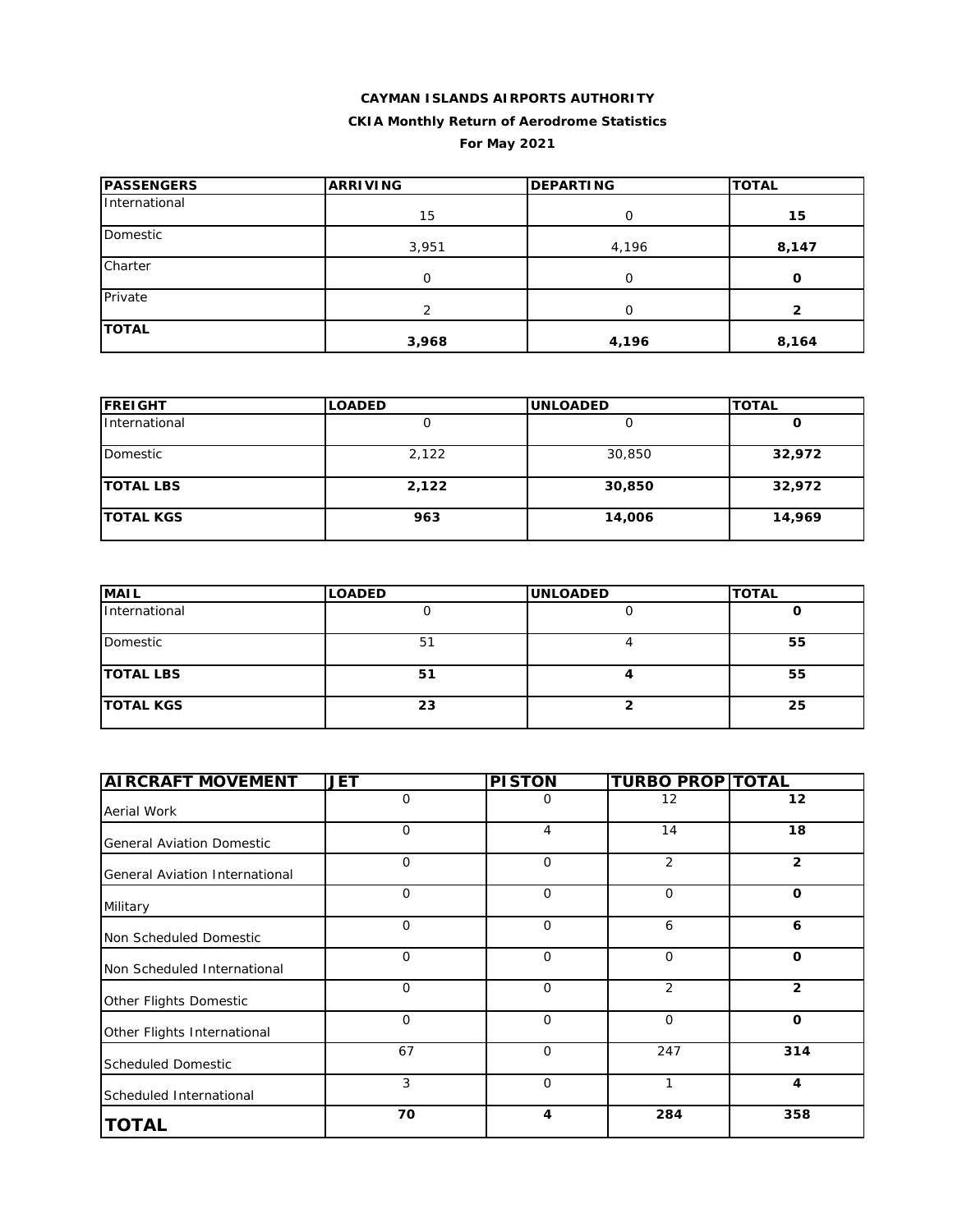# **CAYMAN ISLANDS AIRPORTS AUTHORITY CKIA Monthly Return of Aerodrome Statistics For May 2021**

| <b>PASSENGERS</b> | <b>ARRIVING</b> | <b>DEPARTING</b> | <b>TOTAL</b> |  |
|-------------------|-----------------|------------------|--------------|--|
| International     | 15              | 0                | 15           |  |
| Domestic          | 3,951           | 4,196            | 8,147        |  |
| Charter           | 0               | $\Omega$         | O            |  |
| Private           | っ               | O                | 2            |  |
| <b>TOTAL</b>      | 3,968           | 4,196            | 8,164        |  |

| <b>IFREIGHT</b>  | <b>LOADED</b> | <b>UNLOADED</b> | <b>TOTAL</b> |
|------------------|---------------|-----------------|--------------|
| International    |               |                 | O            |
| Domestic         | 2,122         | 30,850          | 32,972       |
| <b>TOTAL LBS</b> | 2,122         | 30,850          | 32,972       |
| <b>TOTAL KGS</b> | 963           | 14,006          | 14,969       |

| <b>MAIL</b>      | <b>LOADED</b> | <b>UNLOADED</b> | <b>TOTAL</b> |
|------------------|---------------|-----------------|--------------|
| International    |               |                 |              |
| Domestic         | 51            |                 | 55           |
| <b>TOTAL LBS</b> | 51            |                 | 55           |
| <b>TOTAL KGS</b> | 23            |                 | 25           |

| <b>AIRCRAFT MOVEMENT</b>         | <b>JET</b>   | <b>PISTON</b> | <b>TURBO PROP TOTAL</b> |                |
|----------------------------------|--------------|---------------|-------------------------|----------------|
| Aerial Work                      | 0            | 0             | 12                      | 12             |
| <b>General Aviation Domestic</b> | 0            | 4             | 14                      | 18             |
| General Aviation International   | $\mathbf{O}$ | $\mathbf 0$   | 2                       | $\overline{2}$ |
| Military                         | $\Omega$     | $\Omega$      | $\Omega$                | $\mathbf 0$    |
| Non Scheduled Domestic           | $\mathbf 0$  | $\mathbf 0$   | 6                       | 6              |
| Non Scheduled International      | $\mathbf{O}$ | $\mathbf 0$   | $\mathbf{O}$            | $\mathbf 0$    |
| Other Flights Domestic           | $\Omega$     | $\Omega$      | 2                       | $\overline{2}$ |
| Other Flights International      | $\Omega$     | $\mathbf 0$   | $\mathbf 0$             | $\mathbf 0$    |
| <b>Scheduled Domestic</b>        | 67           | $\mathbf 0$   | 247                     | 314            |
| Scheduled International          | 3            | $\mathbf 0$   | 1                       | 4              |
| <b>TOTAL</b>                     | 70           | 4             | 284                     | 358            |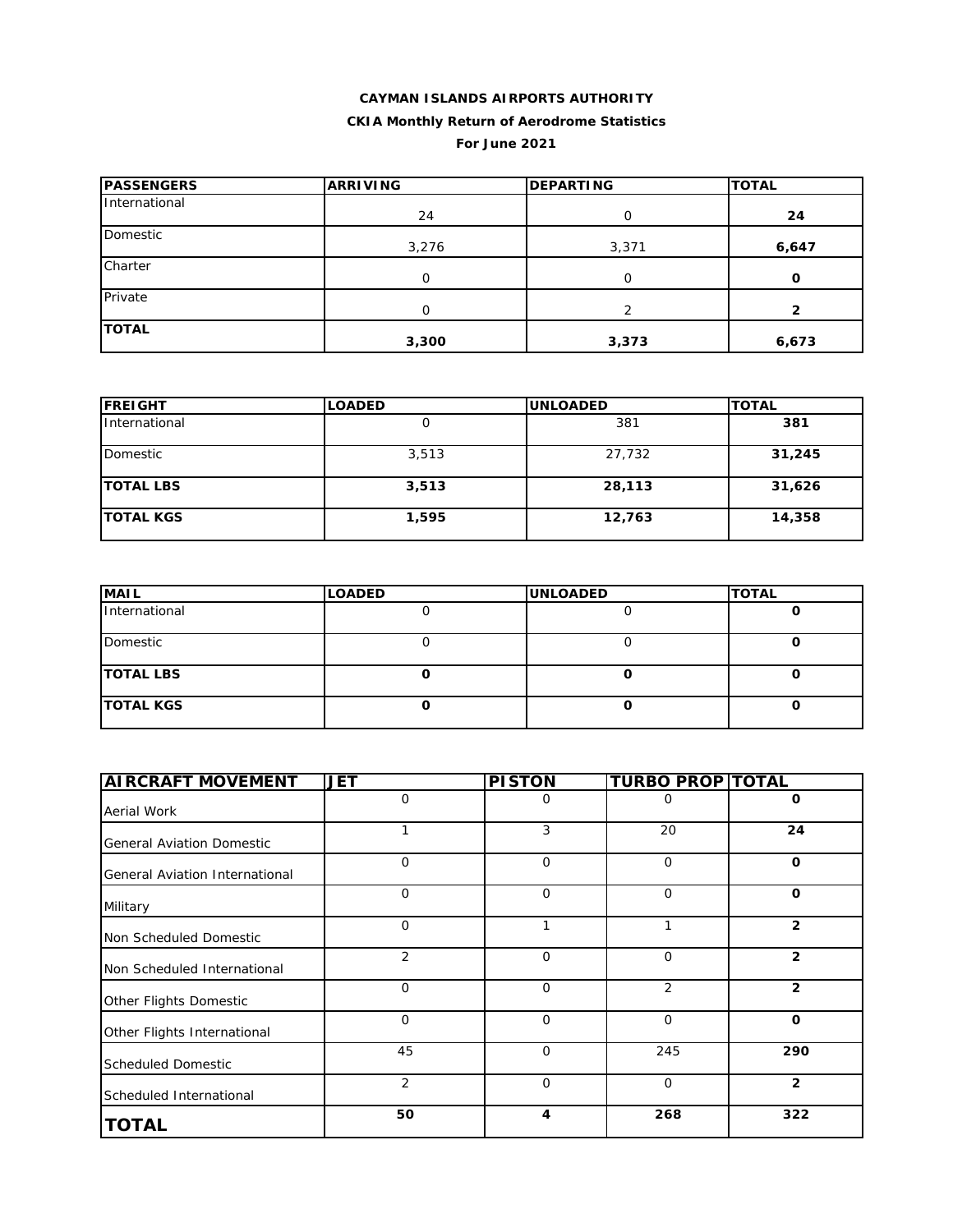# **CAYMAN ISLANDS AIRPORTS AUTHORITY CKIA Monthly Return of Aerodrome Statistics**

**For June 2021**

| <b>PASSENGERS</b> | <b>ARRIVING</b> | <b>DEPARTING</b> | <b>TOTAL</b> |
|-------------------|-----------------|------------------|--------------|
| International     | 24              | Ο                | 24           |
| Domestic          | 3,276           | 3,371            | 6,647        |
| Charter           | O               | O                | O            |
| Private           | 0               |                  | 2            |
| <b>TOTAL</b>      | 3,300           | 3,373            | 6,673        |

| <b>FREIGHT</b>   | <b>LOADED</b> | <b>UNLOADED</b> | <b>TOTAL</b> |
|------------------|---------------|-----------------|--------------|
| International    |               | 381             | 381          |
| Domestic         | 3,513         | 27,732          | 31,245       |
| <b>TOTAL LBS</b> | 3,513         | 28,113          | 31,626       |
| <b>TOTAL KGS</b> | 1,595         | 12,763          | 14,358       |

| <b>MAIL</b>      | <b>LOADED</b> | <b>UNLOADED</b> | <b>TOTAL</b> |
|------------------|---------------|-----------------|--------------|
| International    |               |                 |              |
| Domestic         |               |                 |              |
| <b>TOTAL LBS</b> |               |                 |              |
| <b>TOTAL KGS</b> |               |                 |              |

| <b>AIRCRAFT MOVEMENT</b>         | <b>JET</b>  | <b>PISTON</b> | <b>TURBO PROP TOTAL</b> |                |
|----------------------------------|-------------|---------------|-------------------------|----------------|
| Aerial Work                      | $\mathbf 0$ | 0             | 0                       | 0              |
| <b>General Aviation Domestic</b> | 1           | 3             | 20                      | 24             |
| General Aviation International   | $\mathbf 0$ | $\mathbf{O}$  | $\mathbf 0$             | $\mathbf{o}$   |
| Military                         | $\mathbf 0$ | $\mathbf{O}$  | $\mathbf 0$             | $\mathbf 0$    |
| Non Scheduled Domestic           | $\mathbf 0$ | 1             | 1                       | $\overline{2}$ |
| Non Scheduled International      | 2           | 0             | $\mathbf 0$             | $\overline{2}$ |
| Other Flights Domestic           | $\Omega$    | $\mathbf{O}$  | 2                       | $\overline{2}$ |
| Other Flights International      | $\Omega$    | $\mathbf 0$   | $\mathbf 0$             | $\mathbf{o}$   |
| <b>Scheduled Domestic</b>        | 45          | $\mathbf 0$   | 245                     | 290            |
| Scheduled International          | 2           | 0             | $\mathbf 0$             | $\overline{2}$ |
| <b>TOTAL</b>                     | 50          | 4             | 268                     | 322            |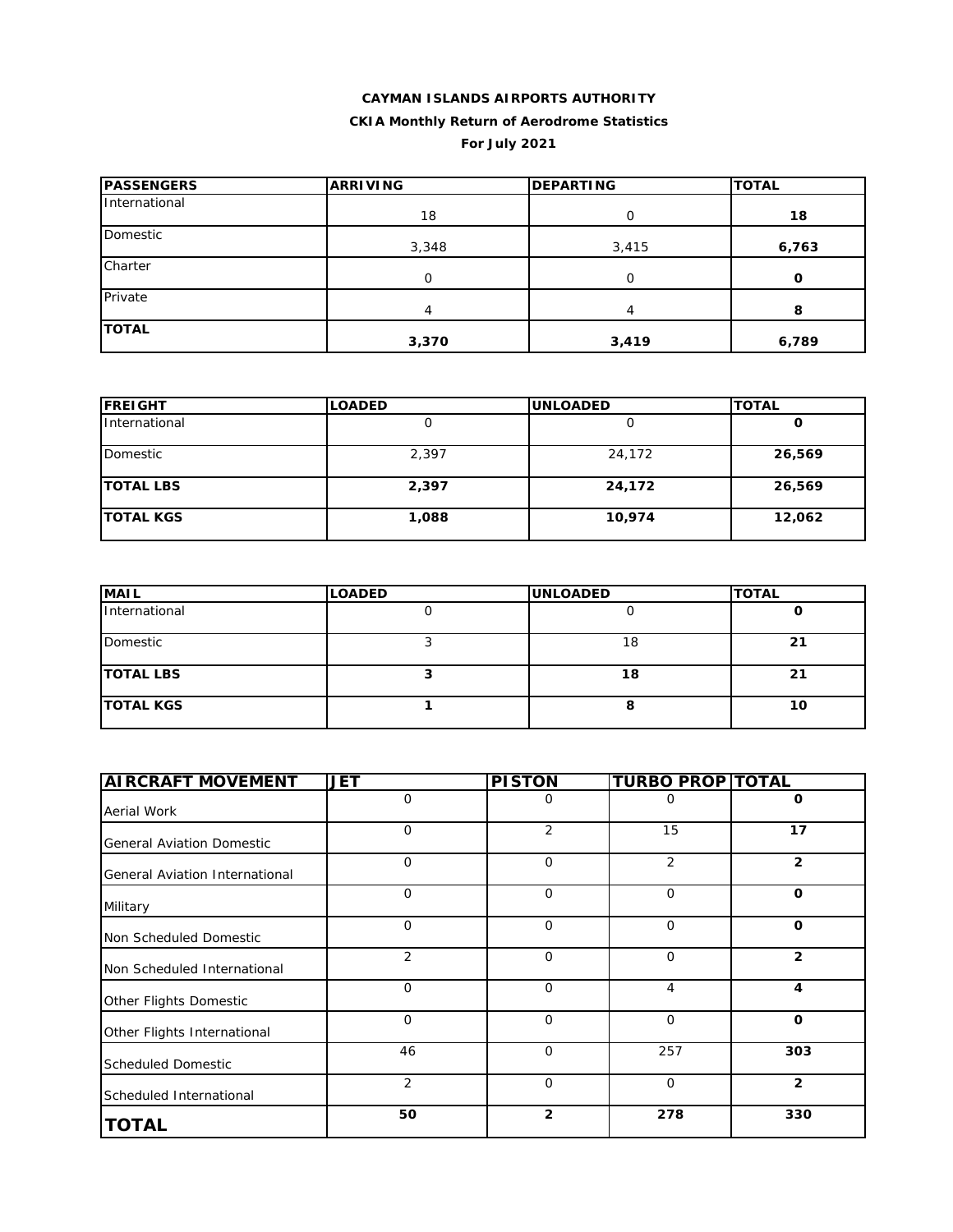# **CAYMAN ISLANDS AIRPORTS AUTHORITY CKIA Monthly Return of Aerodrome Statistics For July 2021**

| <b>PASSENGERS</b> | <b>ARRIVING</b> | <b>DEPARTING</b> | <b>TOTAL</b> |
|-------------------|-----------------|------------------|--------------|
| International     | 18              | 0                | 18           |
| Domestic          | 3,348           | 3,415            | 6,763        |
| Charter           | 0               |                  | O            |
| Private           | 4               | 4                | 8            |
| <b>TOTAL</b>      | 3,370           | 3,419            | 6,789        |

| <b>FREIGHT</b>   | <b>LOADED</b> | <b>UNLOADED</b> | <b>TOTAL</b> |
|------------------|---------------|-----------------|--------------|
| International    |               |                 |              |
| Domestic         | 2,397         | 24,172          | 26,569       |
| <b>TOTAL LBS</b> | 2,397         | 24,172          | 26,569       |
| <b>TOTAL KGS</b> | 1,088         | 10,974          | 12,062       |

| <b>MAIL</b>      | <b>LOADED</b> | <b>UNLOADED</b> | <b>TOTAL</b> |
|------------------|---------------|-----------------|--------------|
| International    |               |                 |              |
| Domestic         |               | 18              | 21           |
| <b>TOTAL LBS</b> |               | 18              | 21           |
| <b>TOTAL KGS</b> |               |                 | 10           |

| <b>AIRCRAFT MOVEMENT</b>         | <b>JET</b>     | <b>PISTON</b>  | <b>TURBO PROP TOTAL</b> |                |
|----------------------------------|----------------|----------------|-------------------------|----------------|
| Aerial Work                      | $\mathbf 0$    | 0              | 0                       | 0              |
| <b>General Aviation Domestic</b> | 0              | 2              | 15                      | 17             |
| General Aviation International   | $\mathbf 0$    | $\mathbf 0$    | 2                       | $\overline{2}$ |
| Military                         | $\mathbf 0$    | $\mathbf 0$    | $\mathbf 0$             | $\mathbf 0$    |
| Non Scheduled Domestic           | $\mathbf 0$    | $\mathbf 0$    | $\mathbf 0$             | O              |
| Non Scheduled International      | $\overline{2}$ | $\mathbf 0$    | $\mathbf 0$             | $\overline{2}$ |
| Other Flights Domestic           | $\mathbf 0$    | $\mathbf 0$    | $\overline{4}$          | 4              |
| Other Flights International      | $\mathbf 0$    | $\mathbf 0$    | $\mathbf 0$             | $\mathbf 0$    |
| <b>Scheduled Domestic</b>        | 46             | $\Omega$       | 257                     | 303            |
| Scheduled International          | $\overline{2}$ | $\mathbf 0$    | $\mathbf 0$             | $\overline{2}$ |
| <b>TOTAL</b>                     | 50             | $\overline{2}$ | 278                     | 330            |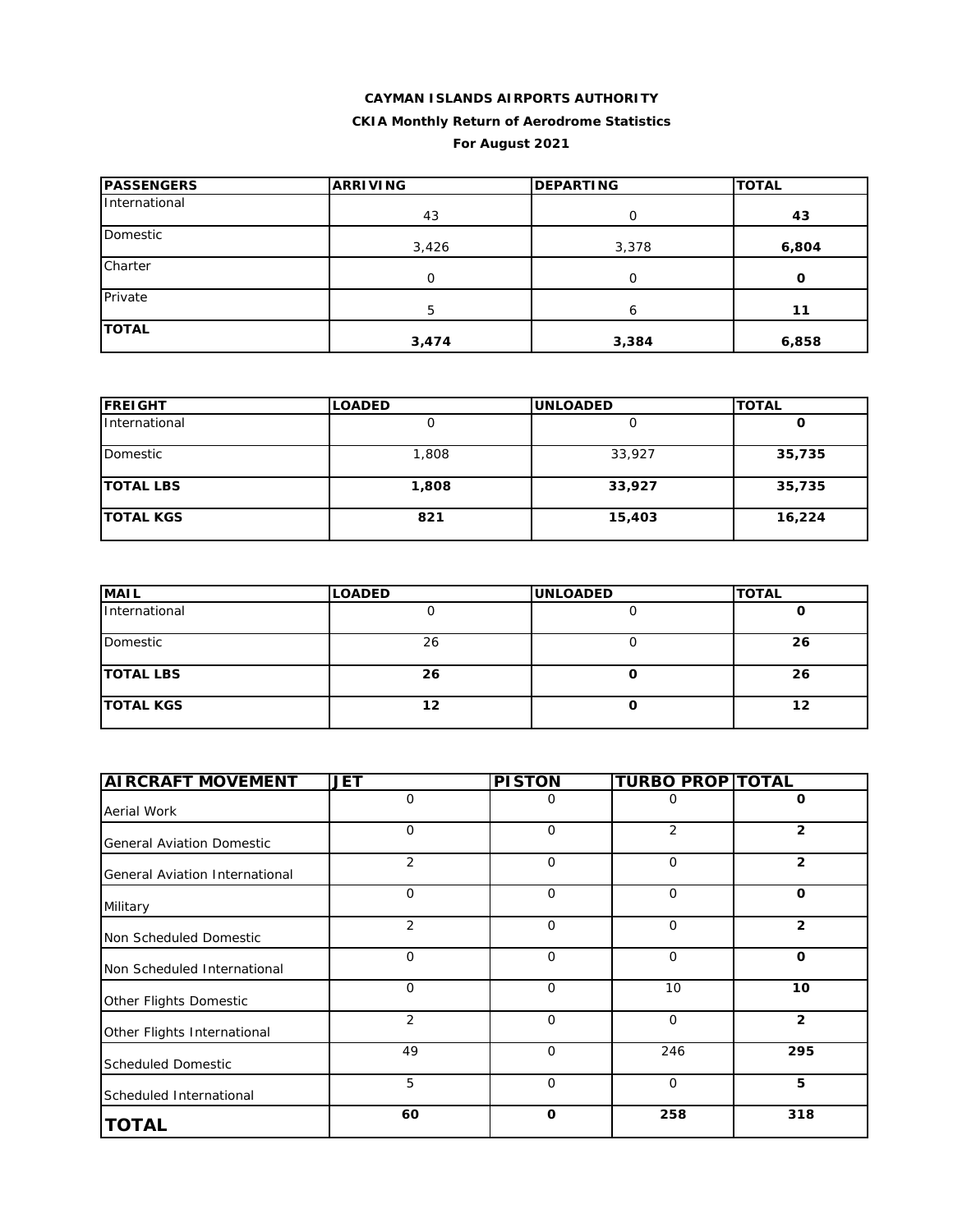#### **CAYMAN ISLANDS AIRPORTS AUTHORITY CKIA Monthly Return of Aerodrome Statistics**

# **For August 2021**

| <b>PASSENGERS</b> | <b>ARRIVING</b> | <b>DEPARTING</b> | <b>TOTAL</b> |  |
|-------------------|-----------------|------------------|--------------|--|
| International     | 43              | 0                | 43           |  |
| Domestic          | 3,426           | 3,378            | 6,804        |  |
| Charter           | O               | $\Omega$         | O            |  |
| Private           | 5               | 6                | 11           |  |
| <b>TOTAL</b>      | 3,474           | 3,384            | 6,858        |  |

| <b>FREIGHT</b>   | <b>LOADED</b> | <b>UNLOADED</b> | <b>TOTAL</b> |
|------------------|---------------|-----------------|--------------|
| International    |               |                 | O            |
| Domestic         | 1,808         | 33,927          | 35,735       |
| <b>TOTAL LBS</b> | 1,808         | 33,927          | 35,735       |
| <b>TOTAL KGS</b> | 821           | 15,403          | 16,224       |

| <b>MAIL</b>      | <b>LOADED</b> | <b>UNLOADED</b> | <b>TOTAL</b> |
|------------------|---------------|-----------------|--------------|
| International    |               |                 |              |
| Domestic         | 26            |                 | 26           |
| <b>TOTAL LBS</b> | 26            |                 | 26           |
| <b>TOTAL KGS</b> | 12            |                 | 12           |

| <b>AIRCRAFT MOVEMENT</b>         | <b>JET</b>     | <b>PISTON</b> | <b>TURBO PROP TOTAL</b> |                |
|----------------------------------|----------------|---------------|-------------------------|----------------|
| Aerial Work                      | 0              | 0             | 0                       | 0              |
| <b>General Aviation Domestic</b> | 0              | $\mathbf 0$   | 2                       | $\mathbf{2}$   |
| General Aviation International   | $\overline{2}$ | $\Omega$      | $\mathbf 0$             | $\overline{2}$ |
| Military                         | $\mathbf{O}$   | $\Omega$      | $\mathbf 0$             | $\mathbf{o}$   |
| Non Scheduled Domestic           | $\overline{2}$ | $\mathbf 0$   | $\mathbf 0$             | $\overline{2}$ |
| Non Scheduled International      | $\mathbf{O}$   | $\mathbf 0$   | $\mathbf 0$             | $\mathbf{o}$   |
| Other Flights Domestic           | $\mathbf{O}$   | $\mathbf 0$   | 10                      | 10             |
| Other Flights International      | $\overline{2}$ | $\Omega$      | $\mathbf 0$             | $\overline{2}$ |
| <b>Scheduled Domestic</b>        | 49             | $\Omega$      | 246                     | 295            |
| Scheduled International          | 5              | $\mathbf 0$   | $\mathbf 0$             | 5              |
| <b>TOTAL</b>                     | 60             | $\mathbf 0$   | 258                     | 318            |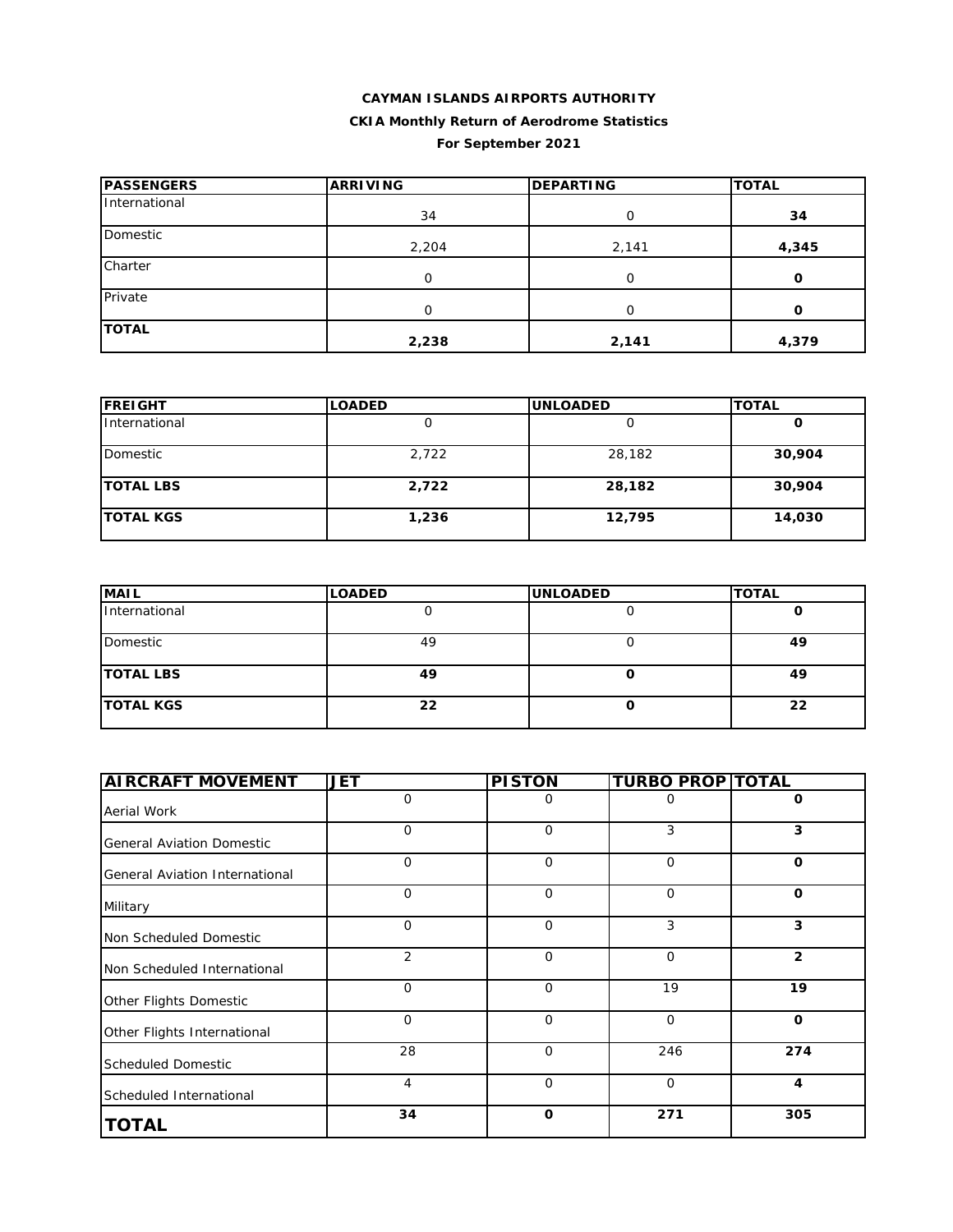# **CAYMAN ISLANDS AIRPORTS AUTHORITY CKIA Monthly Return of Aerodrome Statistics For September 2021**

| <b>PASSENGERS</b> | <b>ARRIVING</b> | <b>DEPARTING</b> | <b>TOTAL</b> |  |
|-------------------|-----------------|------------------|--------------|--|
| International     | 34              | 0                | 34           |  |
| Domestic          | 2,204           | 2,141            | 4,345        |  |
| Charter           | 0               |                  | O            |  |
| Private           | 0               | ∩                | O            |  |
| <b>TOTAL</b>      | 2,238           | 2,141            | 4,379        |  |

| <b>FREIGHT</b>   | <b>LOADED</b> | <b>UNLOADED</b> | <b>TOTAL</b> |
|------------------|---------------|-----------------|--------------|
| International    |               |                 |              |
| Domestic         | 2,722         | 28,182          | 30,904       |
| <b>TOTAL LBS</b> | 2,722         | 28,182          | 30,904       |
| <b>TOTAL KGS</b> | 1,236         | 12,795          | 14,030       |

| <b>MAIL</b>      | <b>LOADED</b> | <b>UNLOADED</b> | <b>TOTAL</b> |
|------------------|---------------|-----------------|--------------|
| International    |               |                 |              |
| Domestic         | 49            |                 | 49           |
| <b>TOTAL LBS</b> | 49            |                 | 49           |
| <b>TOTAL KGS</b> | 22            |                 | 22           |

| <b>AIRCRAFT MOVEMENT</b>              | <b>JET</b>  | <b>PISTON</b> | <b>TURBO PROP TOTAL</b> |                |
|---------------------------------------|-------------|---------------|-------------------------|----------------|
| Aerial Work                           | 0           | 0             | 0                       | 0              |
| <b>General Aviation Domestic</b>      | 0           | $\mathbf 0$   | 3                       | 3              |
| <b>General Aviation International</b> | $\mathbf 0$ | $\mathbf 0$   | $\mathbf 0$             | $\mathbf 0$    |
| Military                              | $\mathbf 0$ | $\Omega$      | $\mathbf{O}$            | $\Omega$       |
| Non Scheduled Domestic                | $\mathbf 0$ | $\mathbf 0$   | 3                       | 3              |
| Non Scheduled International           | 2           | $\mathbf 0$   | $\mathbf{O}$            | $\overline{2}$ |
| Other Flights Domestic                | $\mathbf 0$ | $\Omega$      | 19                      | 19             |
| Other Flights International           | $\mathbf 0$ | $\mathbf 0$   | $\mathbf 0$             | $\mathbf 0$    |
| <b>Scheduled Domestic</b>             | 28          | $\Omega$      | 246                     | 274            |
| Scheduled International               | 4           | $\Omega$      | $\mathbf 0$             | 4              |
| <b>TOTAL</b>                          | 34          | $\mathbf 0$   | 271                     | 305            |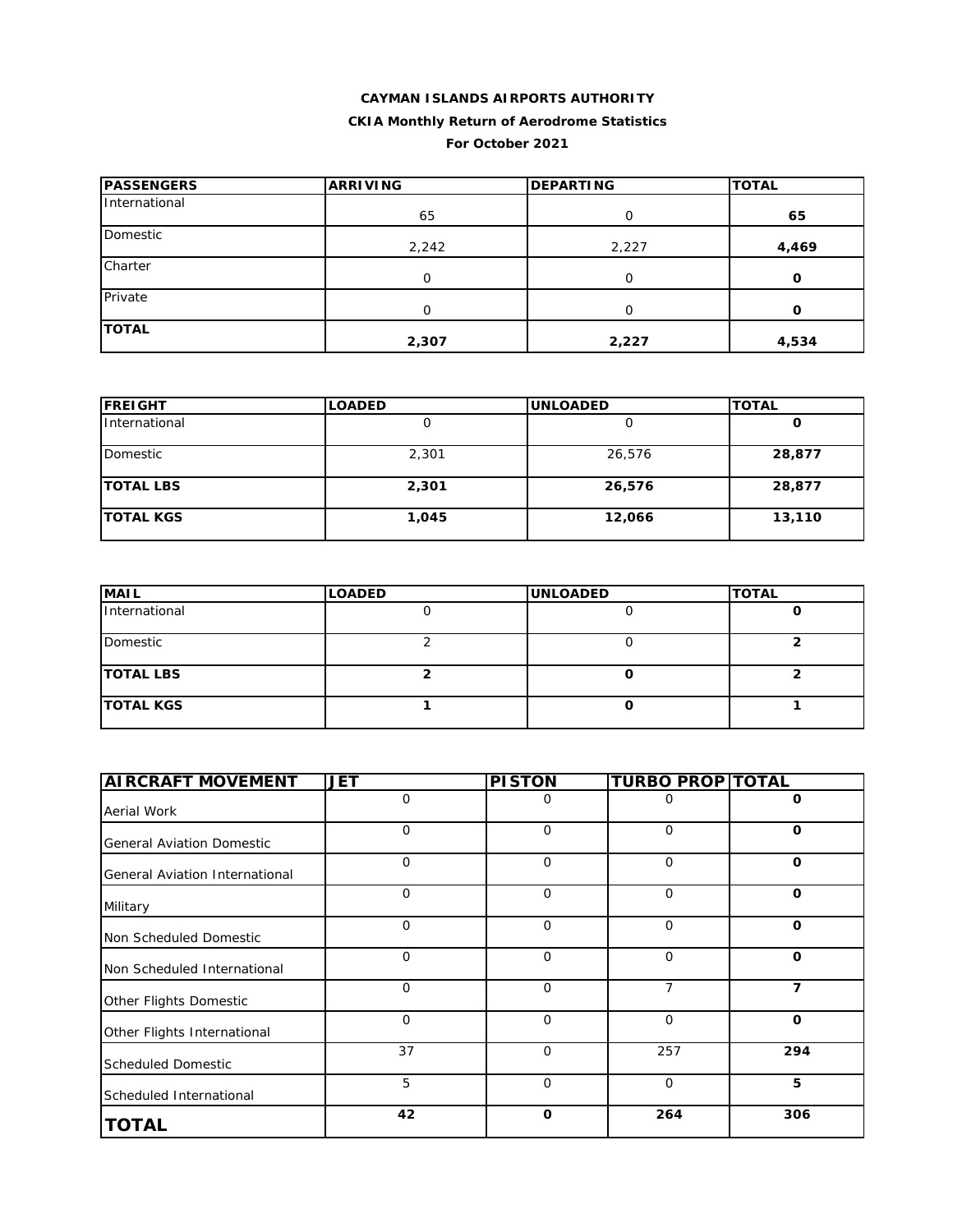### **CAYMAN ISLANDS AIRPORTS AUTHORITY CKIA Monthly Return of Aerodrome Statistics For October 2021**

| <b>IPASSENGERS</b> | <b>ARRIVING</b> | <b>DEPARTING</b> | <b>TOTAL</b> |
|--------------------|-----------------|------------------|--------------|
| International      | 65              | 0                | 65           |
| Domestic           | 2,242           | 2,227            | 4,469        |
| Charter            | 0               | O                | O            |
| Private            | O               | ∩                | $\Omega$     |
| <b>TOTAL</b>       | 2,307           | 2,227            | 4,534        |

| <b>FREIGHT</b>   | <b>LOADED</b> | <b>UNLOADED</b> | <b>TOTAL</b> |
|------------------|---------------|-----------------|--------------|
| International    |               |                 | O            |
| Domestic         | 2,301         | 26,576          | 28,877       |
| <b>TOTAL LBS</b> | 2,301         | 26,576          | 28,877       |
| <b>TOTAL KGS</b> | 1,045         | 12,066          | 13,110       |

| <b>MAIL</b>      | <b>LOADED</b> | <b>UNLOADED</b> | <b>TOTAL</b> |
|------------------|---------------|-----------------|--------------|
| International    |               |                 |              |
| Domestic         |               |                 |              |
| <b>TOTAL LBS</b> |               |                 |              |
| <b>TOTAL KGS</b> |               |                 |              |

| <b>AIRCRAFT MOVEMENT</b>         | <b>JET</b>   | <b>PISTON</b> | <b>TURBO PROP TOTAL</b> |              |
|----------------------------------|--------------|---------------|-------------------------|--------------|
| Aerial Work                      | 0            | 0             | O                       | 0            |
| <b>General Aviation Domestic</b> | $\mathbf{O}$ | 0             | 0                       | $\mathbf 0$  |
| General Aviation International   | $\mathbf 0$  | $\mathbf{O}$  | 0                       | $\mathbf 0$  |
| Military                         | $\mathbf 0$  | $\mathbf{O}$  | $\overline{O}$          | $\mathbf 0$  |
| Non Scheduled Domestic           | $\mathbf{O}$ | $\mathbf 0$   | 0                       | $\mathbf 0$  |
| Non Scheduled International      | $\mathbf 0$  | 0             | 0                       | $\mathbf 0$  |
| Other Flights Domestic           | $\mathbf 0$  | $\mathbf 0$   | $\overline{7}$          | 7            |
| Other Flights International      | $\Omega$     | 0             | 0                       | $\mathbf{o}$ |
| <b>Scheduled Domestic</b>        | 37           | $\mathbf 0$   | 257                     | 294          |
| Scheduled International          | 5            | $\mathbf{O}$  | $\overline{O}$          | 5            |
| <b>TOTAL</b>                     | 42           | $\mathbf 0$   | 264                     | 306          |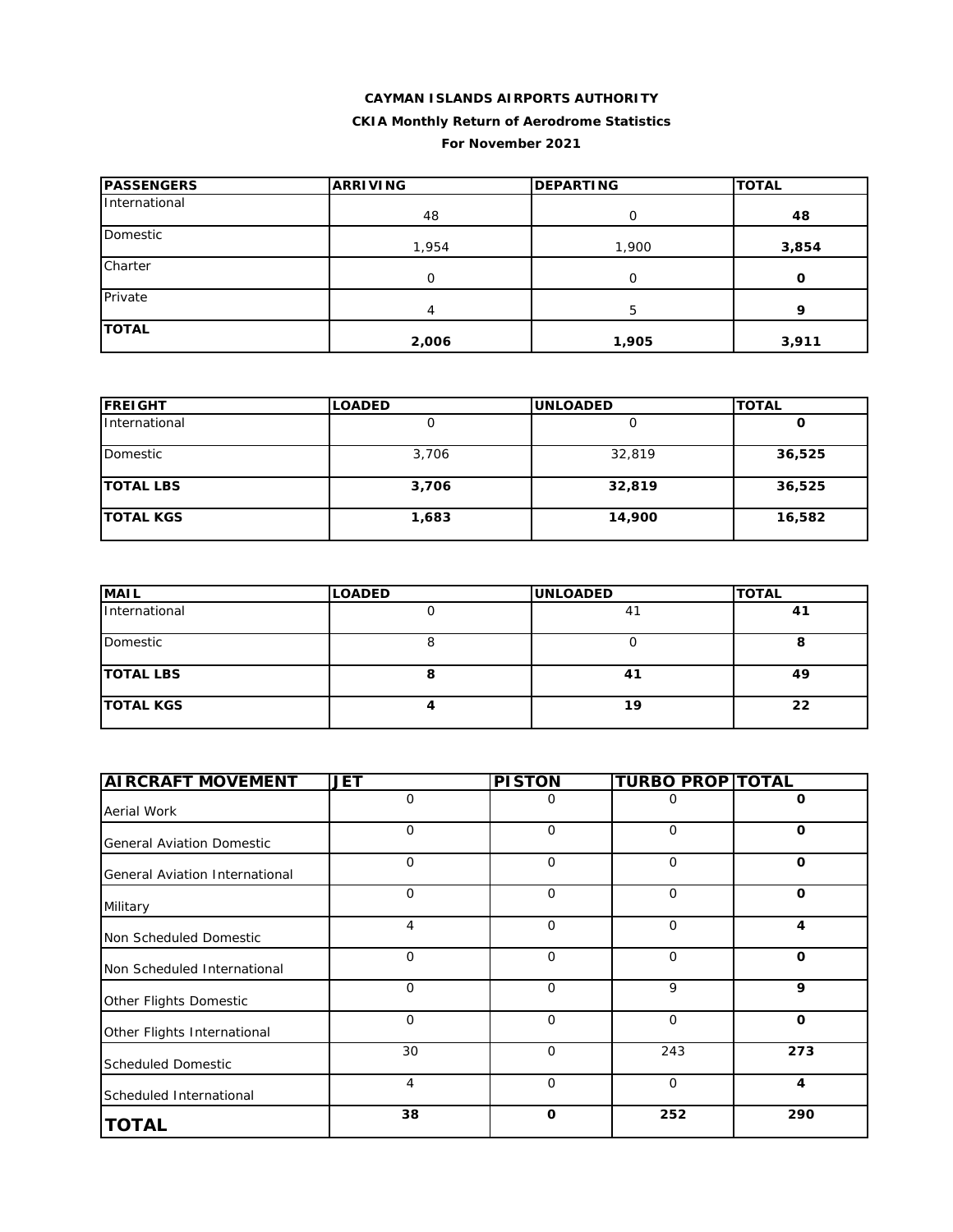#### **CAYMAN ISLANDS AIRPORTS AUTHORITY**

### **CKIA Monthly Return of Aerodrome Statistics**

#### **For November 2021**

| <b>PASSENGERS</b> | <b>ARRIVING</b> | <b>DEPARTING</b> | <b>TOTAL</b> |
|-------------------|-----------------|------------------|--------------|
| International     | 48              | $\Omega$         | 48           |
| Domestic          | 1,954           | 1,900            | 3,854        |
| Charter           | O               | $\Omega$         | O            |
| Private           | 4               | 5.               | 9            |
| <b>TOTAL</b>      | 2,006           | 1,905            | 3,911        |

| <b>FREIGHT</b>   | <b>LOADED</b> | <b>UNLOADED</b> | <b>TOTAL</b> |
|------------------|---------------|-----------------|--------------|
| International    |               |                 | O            |
| Domestic         | 3,706         | 32,819          | 36,525       |
| <b>TOTAL LBS</b> | 3,706         | 32,819          | 36,525       |
| <b>TOTAL KGS</b> | 1,683         | 14,900          | 16,582       |

| <b>MAIL</b>      | <b>LOADED</b> | <b>UNLOADED</b> | <b>TOTAL</b> |
|------------------|---------------|-----------------|--------------|
| International    |               |                 | 41           |
| Domestic         |               |                 |              |
| <b>TOTAL LBS</b> |               | 41              | 49           |
| <b>TOTAL KGS</b> |               | 19              | 22           |

| <b>AIRCRAFT MOVEMENT</b>         | <b>JET</b>   | <b>PISTON</b> | <b>TURBO PROP TOTAL</b> |              |
|----------------------------------|--------------|---------------|-------------------------|--------------|
| Aerial Work                      | $\mathbf{O}$ | 0             | 0                       | O            |
| <b>General Aviation Domestic</b> | 0            | $\mathbf 0$   | $\mathbf 0$             | O            |
| General Aviation International   | $\mathbf{O}$ | $\Omega$      | $\mathbf 0$             | O            |
| Military                         | $\mathbf{O}$ | $\Omega$      | $\mathbf 0$             | $\mathbf 0$  |
| Non Scheduled Domestic           | 4            | $\mathbf 0$   | $\mathbf 0$             | 4            |
| Non Scheduled International      | $\mathbf{O}$ | $\mathbf 0$   | $\mathbf 0$             | $\mathbf 0$  |
| Other Flights Domestic           | $\mathbf{O}$ | $\mathbf 0$   | 9                       | 9            |
| Other Flights International      | $\mathbf{O}$ | $\mathbf 0$   | $\mathbf 0$             | $\mathbf{o}$ |
| <b>Scheduled Domestic</b>        | 30           | $\Omega$      | 243                     | 273          |
| Scheduled International          | 4            | $\mathbf 0$   | $\mathbf 0$             | 4            |
| <b>TOTAL</b>                     | 38           | $\mathbf 0$   | 252                     | 290          |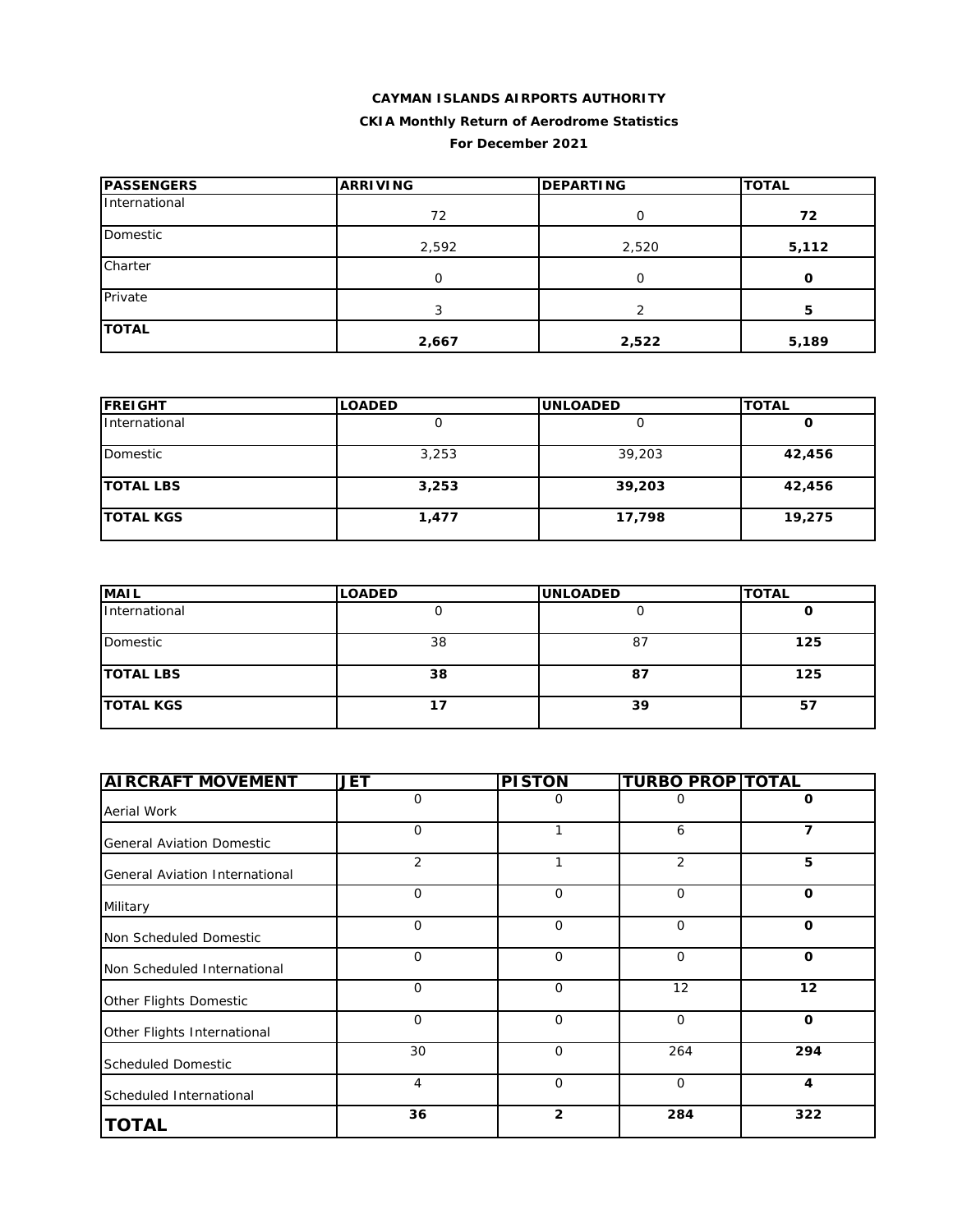### **CAYMAN ISLANDS AIRPORTS AUTHORITY CKIA Monthly Return of Aerodrome Statistics For December 2021**

| <b>PASSENGERS</b> | <b>ARRIVING</b> | <b>DEPARTING</b> | <b>TOTAL</b> |
|-------------------|-----------------|------------------|--------------|
| International     | 72              | Ω                | 72           |
| Domestic          | 2,592           | 2,520            | 5,112        |
| Charter           | 0               | O                | 0            |
| Private           | 3               | ⌒                | 5            |
| <b>TOTAL</b>      | 2,667           | 2,522            | 5,189        |

| <b>FREIGHT</b>    | <b>LOADED</b> | <b>UNLOADED</b> | <b>TOTAL</b> |
|-------------------|---------------|-----------------|--------------|
| International     | U             |                 | O            |
| Domestic          | 3,253         | 39,203          | 42,456       |
| <b>TOTAL LBS</b>  | 3,253         | 39,203          | 42,456       |
| <b>ITOTAL KGS</b> | 1,477         | 17,798          | 19,275       |

| <b>MAIL</b>      | <b>LOADED</b> | <b>UNLOADED</b> | <b>TOTAL</b> |
|------------------|---------------|-----------------|--------------|
| International    |               |                 |              |
| Domestic         | 38            | 87              | 125          |
| <b>TOTAL LBS</b> | 38            | 87              | 125          |
| <b>TOTAL KGS</b> |               | 39              | 57           |

| <b>AIRCRAFT MOVEMENT</b>              | <b>JET</b>   | <b>PISTON</b>  | <b>TURBO PROP TOTAL</b> |              |
|---------------------------------------|--------------|----------------|-------------------------|--------------|
| Aerial Work                           | $\mathbf{O}$ | 0              | 0                       | O            |
| <b>General Aviation Domestic</b>      | $\Omega$     | 1              | 6                       | 7            |
| <b>General Aviation International</b> | 2            | 1              | 2                       | 5            |
| Military                              | $\mathbf 0$  | $\mathbf{O}$   | $\mathbf{O}$            | $\Omega$     |
| Non Scheduled Domestic                | $\Omega$     | $\mathbf 0$    | $\mathbf 0$             | $\mathbf 0$  |
| Non Scheduled International           | $\mathbf 0$  | $\mathbf 0$    | $\mathbf 0$             | $\mathbf{o}$ |
| Other Flights Domestic                | $\mathbf 0$  | $\mathbf 0$    | 12                      | 12           |
| Other Flights International           | $\Omega$     | $\Omega$       | $\Omega$                | $\mathbf{o}$ |
| <b>Scheduled Domestic</b>             | 30           | $\mathbf 0$    | 264                     | 294          |
| Scheduled International               | 4            | 0              | $\mathbf 0$             | 4            |
| <b>TOTAL</b>                          | 36           | $\overline{2}$ | 284                     | 322          |